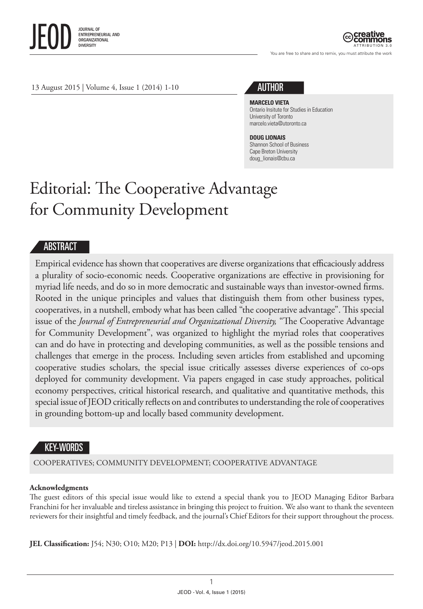

ATTRIBUTION 3.0

You are free to share and to remix, you must attribute the work



#### **MARCELO VIETA**

Ontario Insitute for Studies in Education University of Toronto [marcelo.vieta@utoronto.ca](mailto:marcelo.vieta@utoronto.ca)

#### **DOUG LIONAIS**

Shannon School of Business Cape Breton University [doug\\_lionais@cbu.ca](mailto:doug_lionais@cbu.ca)

# Editorial: The Cooperative Advantage for Community Development

### **ABSTRACT**

Empirical evidence has shown that cooperatives are diverse organizations that efficaciously address a plurality of socio-economic needs. Cooperative organizations are effective in provisioning for myriad life needs, and do so in more democratic and sustainable ways than investor-owned firms. Rooted in the unique principles and values that distinguish them from other business types, cooperatives, in a nutshell, embody what has been called "the cooperative advantage". This special issue of the *Journal of Entrepreneurial and Organizational Diversity,* "The Cooperative Advantage for Community Development", was organized to highlight the myriad roles that cooperatives can and do have in protecting and developing communities, as well as the possible tensions and challenges that emerge in the process. Including seven articles from established and upcoming cooperative studies scholars, the special issue critically assesses diverse experiences of co-ops deployed for community development. Via papers engaged in case study approaches, political economy perspectives, critical historical research, and qualitative and quantitative methods, this special issue of JEOD critically reflects on and contributes to understanding the role of cooperatives in grounding bottom-up and locally based community development.

## KEY-WORDS

COOPERATIVES; COMMUNITY DEVELOPMENT; COOPERATIVE ADVANTAGE

#### **Acknowledgments**

The guest editors of this special issue would like to extend a special thank you to JEOD Managing Editor Barbara Franchini for her invaluable and tireless assistance in bringing this project to fruition. We also want to thank the seventeen reviewers for their insightful and timely feedback, and the journal's Chief Editors for their support throughout the process.

**JEL Classification:** J54; N30; O10; M20; P13 | **DOI:** <http://dx.doi.org/10.5947/jeod.2015.001>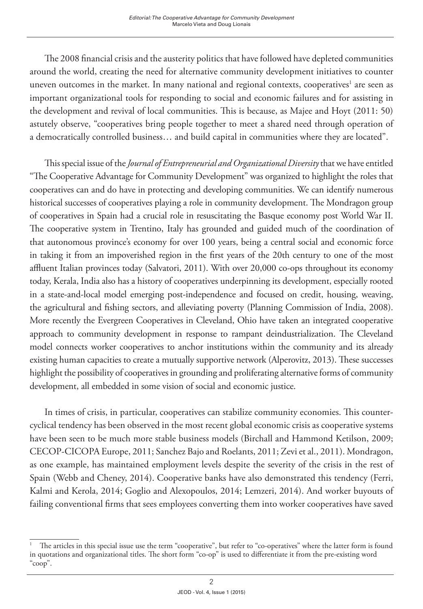The 2008 financial crisis and the austerity politics that have followed have depleted communities around the world, creating the need for alternative community development initiatives to counter uneven outcomes in the market. In many national and regional contexts, cooperatives<sup>1</sup> are seen as important organizational tools for responding to social and economic failures and for assisting in the development and revival of local communities. This is because, as Majee and Hoyt (2011: 50) astutely observe, "cooperatives bring people together to meet a shared need through operation of a democratically controlled business… and build capital in communities where they are located".

This special issue of the *Journal of Entrepreneurial and Organizational Diversity* that we have entitled "The Cooperative Advantage for Community Development" was organized to highlight the roles that cooperatives can and do have in protecting and developing communities. We can identify numerous historical successes of cooperatives playing a role in community development. The Mondragon group of cooperatives in Spain had a crucial role in resuscitating the Basque economy post World War II. The cooperative system in Trentino, Italy has grounded and guided much of the coordination of that autonomous province's economy for over 100 years, being a central social and economic force in taking it from an impoverished region in the first years of the 20th century to one of the most affluent Italian provinces today (Salvatori, 2011). With over 20,000 co-ops throughout its economy today, Kerala, India also has a history of cooperatives underpinning its development, especially rooted in a state-and-local model emerging post-independence and focused on credit, housing, weaving, the agricultural and fishing sectors, and alleviating poverty (Planning Commission of India, 2008). More recently the Evergreen Cooperatives in Cleveland, Ohio have taken an integrated cooperative approach to community development in response to rampant deindustrialization. The Cleveland model connects worker cooperatives to anchor institutions within the community and its already existing human capacities to create a mutually supportive network (Alperovitz, 2013). These successes highlight the possibility of cooperatives in grounding and proliferating alternative forms of community development, all embedded in some vision of social and economic justice.

In times of crisis, in particular, cooperatives can stabilize community economies. This countercyclical tendency has been observed in the most recent global economic crisis as cooperative systems have been seen to be much more stable business models (Birchall and Hammond Ketilson, 2009; CECOP-CICOPA Europe, 2011; Sanchez Bajo and Roelants, 2011; Zevi et al., 2011). Mondragon, as one example, has maintained employment levels despite the severity of the crisis in the rest of Spain (Webb and Cheney, 2014). Cooperative banks have also demonstrated this tendency (Ferri, Kalmi and Kerola, 2014; Goglio and Alexopoulos, 2014; Lemzeri, 2014). And worker buyouts of failing conventional firms that sees employees converting them into worker cooperatives have saved

<sup>1</sup> The articles in this special issue use the term "cooperative", but refer to "co-operatives" where the latter form is found in quotations and organizational titles. The short form "co-op" is used to differentiate it from the pre-existing word "coop".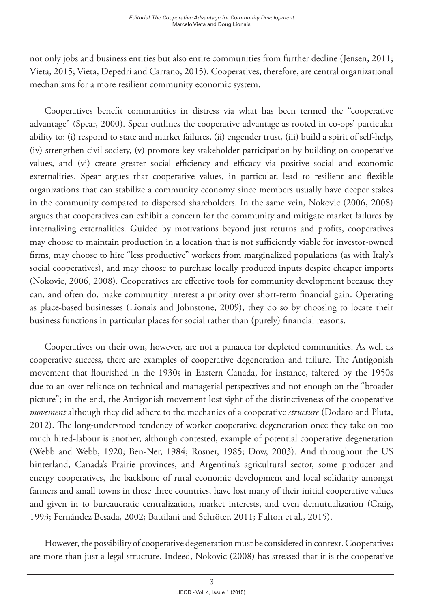not only jobs and business entities but also entire communities from further decline (Jensen, 2011; Vieta, 2015; Vieta, Depedri and Carrano, 2015). Cooperatives, therefore, are central organizational mechanisms for a more resilient community economic system.

Cooperatives benefit communities in distress via what has been termed the "cooperative advantage" (Spear, 2000). Spear outlines the cooperative advantage as rooted in co-ops' particular ability to: (i) respond to state and market failures, (ii) engender trust, (iii) build a spirit of self-help, (iv) strengthen civil society, (v) promote key stakeholder participation by building on cooperative values, and (vi) create greater social efficiency and efficacy via positive social and economic externalities. Spear argues that cooperative values, in particular, lead to resilient and flexible organizations that can stabilize a community economy since members usually have deeper stakes in the community compared to dispersed shareholders. In the same vein, Nokovic (2006, 2008) argues that cooperatives can exhibit a concern for the community and mitigate market failures by internalizing externalities. Guided by motivations beyond just returns and profits, cooperatives may choose to maintain production in a location that is not sufficiently viable for investor-owned firms, may choose to hire "less productive" workers from marginalized populations (as with Italy's social cooperatives), and may choose to purchase locally produced inputs despite cheaper imports (Nokovic, 2006, 2008). Cooperatives are effective tools for community development because they can, and often do, make community interest a priority over short-term financial gain. Operating as place-based businesses (Lionais and Johnstone, 2009), they do so by choosing to locate their business functions in particular places for social rather than (purely) financial reasons.

Cooperatives on their own, however, are not a panacea for depleted communities. As well as cooperative success, there are examples of cooperative degeneration and failure. The Antigonish movement that flourished in the 1930s in Eastern Canada, for instance, faltered by the 1950s due to an over-reliance on technical and managerial perspectives and not enough on the "broader picture"; in the end, the Antigonish movement lost sight of the distinctiveness of the cooperative *movement* although they did adhere to the mechanics of a cooperative *structure* (Dodaro and Pluta, 2012). The long-understood tendency of worker cooperative degeneration once they take on too much hired-labour is another, although contested, example of potential cooperative degeneration (Webb and Webb, 1920; Ben-Ner, 1984; Rosner, 1985; Dow, 2003). And throughout the US hinterland, Canada's Prairie provinces, and Argentina's agricultural sector, some producer and energy cooperatives, the backbone of rural economic development and local solidarity amongst farmers and small towns in these three countries, have lost many of their initial cooperative values and given in to bureaucratic centralization, market interests, and even demutualization (Craig, 1993; Fernández Besada, 2002; Battilani and Schröter, 2011; Fulton et al., 2015).

However, the possibility of cooperative degeneration must be considered in context. Cooperatives are more than just a legal structure. Indeed, Nokovic (2008) has stressed that it is the cooperative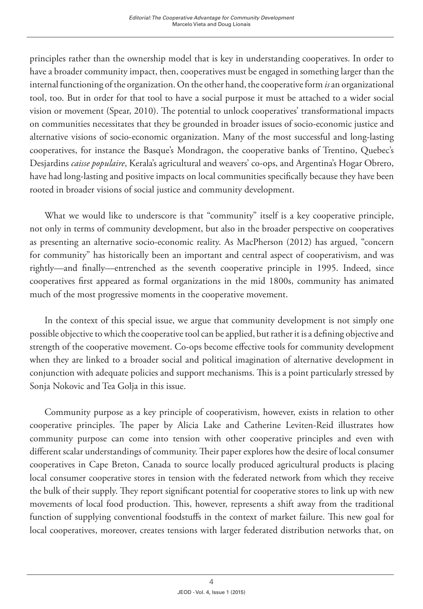principles rather than the ownership model that is key in understanding cooperatives. In order to have a broader community impact, then, cooperatives must be engaged in something larger than the internal functioning of the organization. On the other hand, the cooperative form *is* an organizational tool, too. But in order for that tool to have a social purpose it must be attached to a wider social vision or movement (Spear, 2010). The potential to unlock cooperatives' transformational impacts on communities necessitates that they be grounded in broader issues of socio-economic justice and alternative visions of socio-economic organization. Many of the most successful and long-lasting cooperatives, for instance the Basque's Mondragon, the cooperative banks of Trentino, Quebec's Desjardins *caisse populaire*, Kerala's agricultural and weavers' co-ops, and Argentina's Hogar Obrero, have had long-lasting and positive impacts on local communities specifically because they have been rooted in broader visions of social justice and community development.

What we would like to underscore is that "community" itself is a key cooperative principle, not only in terms of community development, but also in the broader perspective on cooperatives as presenting an alternative socio-economic reality. As MacPherson (2012) has argued, "concern for community" has historically been an important and central aspect of cooperativism, and was rightly—and finally—entrenched as the seventh cooperative principle in 1995. Indeed, since cooperatives first appeared as formal organizations in the mid 1800s, community has animated much of the most progressive moments in the cooperative movement.

In the context of this special issue, we argue that community development is not simply one possible objective to which the cooperative tool can be applied, but rather it is a defining objective and strength of the cooperative movement. Co-ops become effective tools for community development when they are linked to a broader social and political imagination of alternative development in conjunction with adequate policies and support mechanisms. This is a point particularly stressed by Sonja Nokovic and Tea Golja in this issue.

Community purpose as a key principle of cooperativism, however, exists in relation to other cooperative principles. The paper by Alicia Lake and Catherine Leviten-Reid illustrates how community purpose can come into tension with other cooperative principles and even with different scalar understandings of community. Their paper explores how the desire of local consumer cooperatives in Cape Breton, Canada to source locally produced agricultural products is placing local consumer cooperative stores in tension with the federated network from which they receive the bulk of their supply. They report significant potential for cooperative stores to link up with new movements of local food production. This, however, represents a shift away from the traditional function of supplying conventional foodstuffs in the context of market failure. This new goal for local cooperatives, moreover, creates tensions with larger federated distribution networks that, on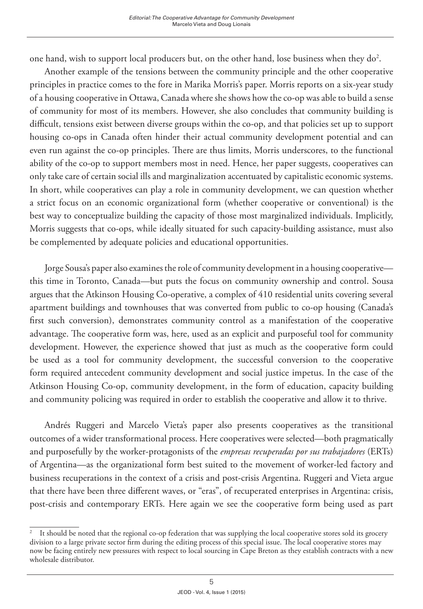one hand, wish to support local producers but, on the other hand, lose business when they  $do^2$ .

Another example of the tensions between the community principle and the other cooperative principles in practice comes to the fore in Marika Morris's paper. Morris reports on a six-year study of a housing cooperative in Ottawa, Canada where she shows how the co-op was able to build a sense of community for most of its members. However, she also concludes that community building is difficult, tensions exist between diverse groups within the co-op, and that policies set up to support housing co-ops in Canada often hinder their actual community development potential and can even run against the co-op principles. There are thus limits, Morris underscores, to the functional ability of the co-op to support members most in need. Hence, her paper suggests, cooperatives can only take care of certain social ills and marginalization accentuated by capitalistic economic systems. In short, while cooperatives can play a role in community development, we can question whether a strict focus on an economic organizational form (whether cooperative or conventional) is the best way to conceptualize building the capacity of those most marginalized individuals. Implicitly, Morris suggests that co-ops, while ideally situated for such capacity-building assistance, must also be complemented by adequate policies and educational opportunities.

Jorge Sousa's paper also examines the role of community development in a housing cooperative this time in Toronto, Canada—but puts the focus on community ownership and control. Sousa argues that the Atkinson Housing Co-operative, a complex of 410 residential units covering several apartment buildings and townhouses that was converted from public to co-op housing (Canada's first such conversion), demonstrates community control as a manifestation of the cooperative advantage. The cooperative form was, here, used as an explicit and purposeful tool for community development. However, the experience showed that just as much as the cooperative form could be used as a tool for community development, the successful conversion to the cooperative form required antecedent community development and social justice impetus. In the case of the Atkinson Housing Co-op, community development, in the form of education, capacity building and community policing was required in order to establish the cooperative and allow it to thrive.

Andrés Ruggeri and Marcelo Vieta's paper also presents cooperatives as the transitional outcomes of a wider transformational process. Here cooperatives were selected—both pragmatically and purposefully by the worker-protagonists of the *empresas recuperadas por sus trabajadores* (ERTs) of Argentina—as the organizational form best suited to the movement of worker-led factory and business recuperations in the context of a crisis and post-crisis Argentina. Ruggeri and Vieta argue that there have been three different waves, or "eras", of recuperated enterprises in Argentina: crisis, post-crisis and contemporary ERTs. Here again we see the cooperative form being used as part

<sup>2</sup> It should be noted that the regional co-op federation that was supplying the local cooperative stores sold its grocery division to a large private sector firm during the editing process of this special issue. The local cooperative stores may now be facing entirely new pressures with respect to local sourcing in Cape Breton as they establish contracts with a new wholesale distributor.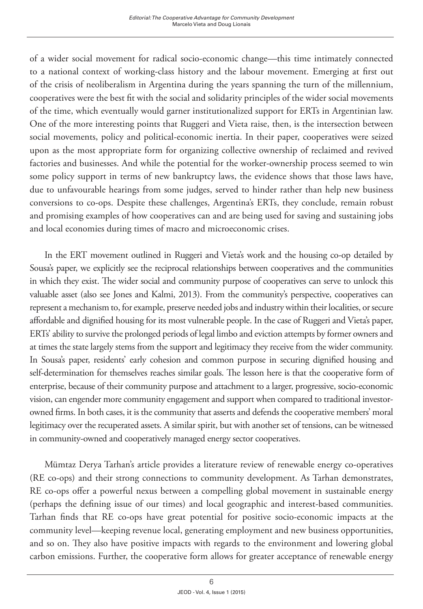of a wider social movement for radical socio-economic change—this time intimately connected to a national context of working-class history and the labour movement. Emerging at first out of the crisis of neoliberalism in Argentina during the years spanning the turn of the millennium, cooperatives were the best fit with the social and solidarity principles of the wider social movements of the time, which eventually would garner institutionalized support for ERTs in Argentinian law. One of the more interesting points that Ruggeri and Vieta raise, then, is the intersection between social movements, policy and political-economic inertia. In their paper, cooperatives were seized upon as the most appropriate form for organizing collective ownership of reclaimed and revived factories and businesses. And while the potential for the worker-ownership process seemed to win some policy support in terms of new bankruptcy laws, the evidence shows that those laws have, due to unfavourable hearings from some judges, served to hinder rather than help new business conversions to co-ops. Despite these challenges, Argentina's ERTs, they conclude, remain robust and promising examples of how cooperatives can and are being used for saving and sustaining jobs and local economies during times of macro and microeconomic crises.

In the ERT movement outlined in Ruggeri and Vieta's work and the housing co-op detailed by Sousa's paper, we explicitly see the reciprocal relationships between cooperatives and the communities in which they exist. The wider social and community purpose of cooperatives can serve to unlock this valuable asset (also see Jones and Kalmi, 2013). From the community's perspective, cooperatives can represent a mechanism to, for example, preserve needed jobs and industry within their localities, or secure affordable and dignified housing for its most vulnerable people. In the case of Ruggeri and Vieta's paper, ERTs' ability to survive the prolonged periods of legal limbo and eviction attempts by former owners and at times the state largely stems from the support and legitimacy they receive from the wider community. In Sousa's paper, residents' early cohesion and common purpose in securing dignified housing and self-determination for themselves reaches similar goals. The lesson here is that the cooperative form of enterprise, because of their community purpose and attachment to a larger, progressive, socio-economic vision, can engender more community engagement and support when compared to traditional investorowned firms. In both cases, it is the community that asserts and defends the cooperative members' moral legitimacy over the recuperated assets. A similar spirit, but with another set of tensions, can be witnessed in community-owned and cooperatively managed energy sector cooperatives.

Mümtaz Derya Tarhan's article provides a literature review of renewable energy co-operatives (RE co-ops) and their strong connections to community development. As Tarhan demonstrates, RE co-ops offer a powerful nexus between a compelling global movement in sustainable energy (perhaps the defining issue of our times) and local geographic and interest-based communities. Tarhan finds that RE co-ops have great potential for positive socio-economic impacts at the community level—keeping revenue local, generating employment and new business opportunities, and so on. They also have positive impacts with regards to the environment and lowering global carbon emissions. Further, the cooperative form allows for greater acceptance of renewable energy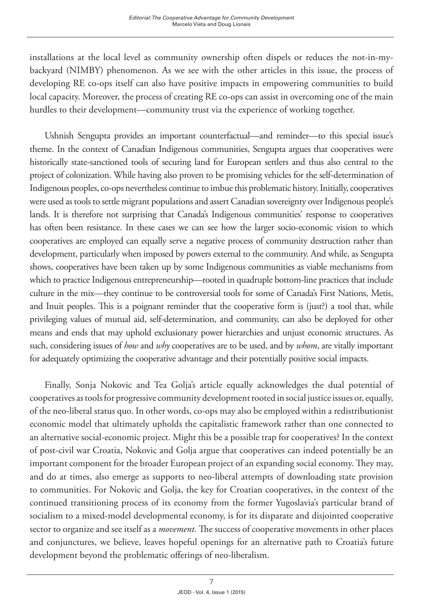installations at the local level as community ownership often dispels or reduces the not-in-mybackyard (NIMBY) phenomenon. As we see with the other articles in this issue, the process of developing RE co-ops itself can also have positive impacts in empowering communities to build local capacity. Moreover, the process of creating RE co-ops can assist in overcoming one of the main hurdles to their development—community trust via the experience of working together.

Ushnish Sengupta provides an important counterfactual—and reminder—to this special issue's theme. In the context of Canadian Indigenous communities, Sengupta argues that cooperatives were historically state-sanctioned tools of securing land for European settlers and thus also central to the project of colonization. While having also proven to be promising vehicles for the self-determination of Indigenous peoples, co-ops nevertheless continue to imbue this problematic history. Initially, cooperatives were used as tools to settle migrant populations and assert Canadian sovereignty over Indigenous people's lands. It is therefore not surprising that Canada's Indigenous communities' response to cooperatives has often been resistance. In these cases we can see how the larger socio-economic vision to which cooperatives are employed can equally serve a negative process of community destruction rather than development, particularly when imposed by powers external to the community. And while, as Sengupta shows, cooperatives have been taken up by some Indigenous communities as viable mechanisms from which to practice Indigenous entrepreneurship—rooted in quadruple bottom-line practices that include culture in the mix—they continue to be controversial tools for some of Canada's First Nations, Metis, and Inuit peoples. This is a poignant reminder that the cooperative form is (just?) a tool that, while privileging values of mutual aid, self-determination, and community, can also be deployed for other means and ends that may uphold exclusionary power hierarchies and unjust economic structures. As such, considering issues of *how* and *why* cooperatives are to be used, and by *whom*, are vitally important for adequately optimizing the cooperative advantage and their potentially positive social impacts.

Finally, Sonja Nokovic and Tea Golja's article equally acknowledges the dual potential of cooperatives as tools for progressive community development rooted in social justice issues or, equally, of the neo-liberal status quo. In other words, co-ops may also be employed within a redistributionist economic model that ultimately upholds the capitalistic framework rather than one connected to an alternative social-economic project. Might this be a possible trap for cooperatives? In the context of post-civil war Croatia, Nokovic and Golja argue that cooperatives can indeed potentially be an important component for the broader European project of an expanding social economy. They may, and do at times, also emerge as supports to neo-liberal attempts of downloading state provision to communities. For Nokovic and Golja, the key for Croatian cooperatives, in the context of the continued transitioning process of its economy from the former Yugoslavia's particular brand of socialism to a mixed-model developmental economy, is for its disparate and disjointed cooperative sector to organize and see itself as a *movement*. The success of cooperative movements in other places and conjunctures, we believe, leaves hopeful openings for an alternative path to Croatia's future development beyond the problematic offerings of neo-liberalism.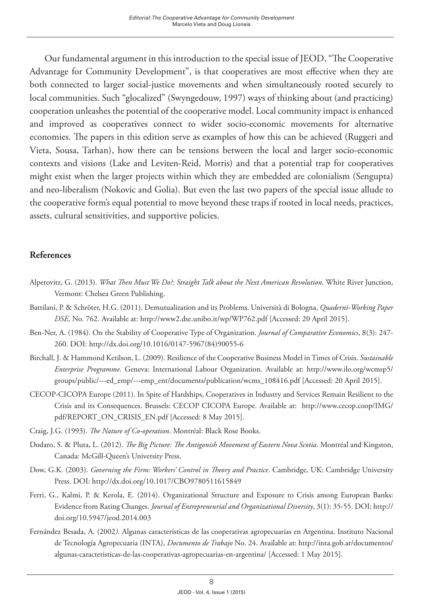Our fundamental argument in this introduction to the special issue of JEOD, "The Cooperative Advantage for Community Development", is that cooperatives are most effective when they are both connected to larger social-justice movements and when simultaneously rooted securely to local communities. Such "glocalized" (Swyngedouw, 1997) ways of thinking about (and practicing) cooperation unleashes the potential of the cooperative model. Local community impact is enhanced and improved as cooperatives connect to wider socio-economic movements for alternative economies. The papers in this edition serve as examples of how this can be achieved (Ruggeri and Vieta, Sousa, Tarhan), how there can be tensions between the local and larger socio-economic contexts and visions (Lake and Leviten-Reid, Morris) and that a potential trap for cooperatives might exist when the larger projects within which they are embedded are colonialism (Sengupta) and neo-liberalism (Nokovic and Golia). But even the last two papers of the special issue allude to the cooperative form's equal potential to move beyond these traps if rooted in local needs, practices, assets, cultural sensitivities, and supportive policies.

## **References**

- Alperovitz, G. (2013). *What Then Must We Do?: Straight Talk about the Next American Revolution*. White River Junction, Vermont: Chelsea Green Publishing.
- Battilani, P. & Schröter, H.G. (2011). Demutualization and its Problems. Università di Bologna, *Quaderni-Working Paper DSE,* No. 762. Available at: <http://www2.dse.unibo.it/wp/WP762.pdf> [Accessed: 20 April 2015].
- Ben-Ner, A. (1984). On the Stability of Cooperative Type of Organization. *Journal of Comparative Economics*, 8(3): 247- 260. DOI: [http://dx.doi.org/10.1016/0147-5967\(84\)90055-6](http://dx.doi.org/10.1016/0147-5967(84)90055-6)
- Birchall, J. & Hammond Ketilson, L. (2009). Resilience of the Cooperative Business Model in Times of Crisis. *Sustainable Enterprise Programme*. Geneva: International Labour Organization. Available at: [http://www.ilo.org/wcmsp5/](http://www.ilo.org/wcmsp5/groups/public/---ed_emp/---emp_ent/documents/publication/wcms_108416.pdf) [groups/public/---ed\\_emp/---emp\\_ent/documents/publication/wcms\\_108416.pdf](http://www.ilo.org/wcmsp5/groups/public/---ed_emp/---emp_ent/documents/publication/wcms_108416.pdf) [Accessed: 20 April 2015].
- CECOP-CICOPA Europe (2011). In Spite of Hardships, Cooperatives in Industry and Services Remain Resilient to the Crisis and its Consequences. Brussels: CECOP CICOPA Europe. Available at: [http://www.cecop.coop/IMG/](http://www.cecop.coop/IMG/pdf/REPORT_ON_CRISIS_EN.pdf) [pdf/REPORT\\_ON\\_CRISIS\\_EN.pdf](http://www.cecop.coop/IMG/pdf/REPORT_ON_CRISIS_EN.pdf) [Accessed: 8 May 2015].
- Craig, J.G. (1993). *The Nature of Co-operation*. Montréal: Black Rose Books.
- Dodaro, S. & Pluta, L. (2012). *The Big Picture: The Antigonish Movement of Eastern Nova Scotia*. Montréal and Kingston, Canada: McGill-Queen's University Press.
- Dow, G.K. (2003). *Governing the Firm: Workers' Control in Theory and Practice*. Cambridge, UK: Cambridge University Press. DOI: <http://dx.doi.org/10.1017/CBO9780511615849>
- Ferri, G., Kalmi, P. & Kerola, E. (2014). Organizational Structure and Exposure to Crisis among European Banks: Evidence from Rating Changes. *Journal of Entrepreneurial and Organizational Diversity*, 3(1): 35-55. DOI: [http://](http://doi.org/10.5947/jeod.2014.003) [doi.org/10.5947/jeod.2014.003](http://doi.org/10.5947/jeod.2014.003)
- Fernández Besada, A. (2002*).* Algunas características de las cooperativas agropecuarias en Argentina. Instituto Nacional de Tecnología Agropecuaria (INTA), *Documento de Trabajo* No. 24. Available at: [http://inta.gob.ar/documentos/](http://inta.gob.ar/documentos/algunas-caracteristicas-de-las-cooperativas-agropecuarias-en-argentina/) [algunas-caracteristicas-de-las-cooperativas-agropecuarias-en-argentina/](http://inta.gob.ar/documentos/algunas-caracteristicas-de-las-cooperativas-agropecuarias-en-argentina/) [Accessed: 1 May 2015].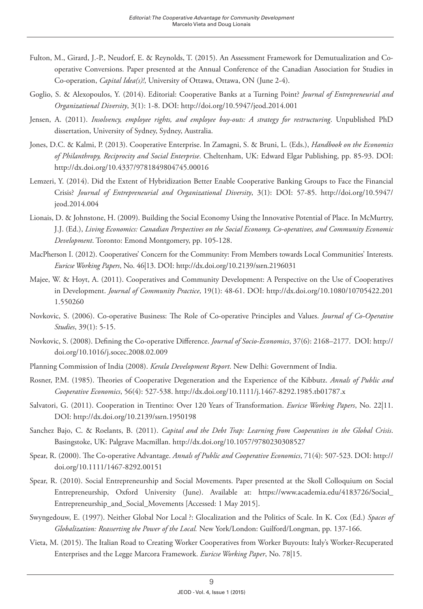- Fulton, M., Girard, J.-P., Neudorf, E. & Reynolds, T. (2015). An Assessment Framework for Demutualization and Cooperative Conversions. Paper presented at the Annual Conference of the Canadian Association for Studies in Co-operation, *Capital Idea(s)!*, University of Ottawa, Ottawa, ON (June 2-4).
- Goglio, S. & Alexopoulos, Y. (2014). Editorial: Cooperative Banks at a Turning Point? *Journal of Entrepreneurial and Organizational Diversity*, 3(1): 1-8. DOI:<http://doi.org/10.5947/jeod.2014.001>
- Jensen, A. (2011). *Insolvency, employee rights, and employee buy-outs: A strategy for restructuring*. Unpublished PhD dissertation, University of Sydney, Sydney, Australia.
- Jones, D.C. & Kalmi, P. (2013). Cooperative Enterprise. In Zamagni, S. & Bruni, L. (Eds.), *Handbook on the Economics of Philanthropy, Reciprocity and Social Enterprise*. Cheltenham, UK: Edward Elgar Publishing, pp. 85-93. DOI: <http://dx.doi.org/10.4337/9781849804745.00016>
- Lemzeri, Y. (2014). Did the Extent of Hybridization Better Enable Cooperative Banking Groups to Face the Financial Crisis? *Journal of Entrepreneurial and Organizational Diversity*, 3(1): DOI: 57-85. [http://doi.org/10.5947/](http://doi.org/10.5947/jeod.2014.004) [jeod.2014.004](http://doi.org/10.5947/jeod.2014.004)
- Lionais, D. & Johnstone, H. (2009). Building the Social Economy Using the Innovative Potential of Place. In McMurtry, J.J. (Ed.), *Living Economics: Canadian Perspectives on the Social Economy, Co-operatives, and Community Economic Development*. Toronto: Emond Montgomery, pp. 105-128.
- MacPherson I. (2012). Cooperatives' Concern for the Community: From Members towards Local Communities' Interests. *Euricse Working Papers*, No. 46|13. DOI: <http://dx.doi.org/10.2139/ssrn.2196031>
- Majee, W. & Hoyt, A. (2011). Cooperatives and Community Development: A Perspective on the Use of Cooperatives in Development. *Journal of Community Practice*, 19(1): 48-61. DOI: [http://dx.doi.org/10.1080/10705422.201](http://dx.doi.org/10.1080/10705422.2011.550260) [1.550260](http://dx.doi.org/10.1080/10705422.2011.550260)
- Novkovic, S. (2006). Co-operative Business: The Role of Co-operative Principles and Values. *Journal of Co-Operative Studies*, 39(1): 5-15.
- Novkovic, S. (2008). Defining the Co-operative Difference. *Journal of Socio-Economics*, 37(6): 2168–2177. DOI: [http://](http://doi.org/10.1016/j.socec.2008.02.009) [doi.org/10.1016/j.socec.2008.02.009](http://doi.org/10.1016/j.socec.2008.02.009)
- Planning Commission of India (2008). *Kerala Development Report*. New Delhi: Government of India.
- Rosner, P.M. (1985). Theories of Cooperative Degeneration and the Experience of the Kibbutz. *Annals of Public and Cooperative Economics*, 56(4): 527-538. <http://dx.doi.org/10.1111/j.1467-8292.1985.tb01787.x>
- Salvatori, G. (2011). Cooperation in Trentino: Over 120 Years of Transformation. *Euricse Working Papers*, No. 22|11. DOI:<http://dx.doi.org/10.2139/ssrn.1950198>
- Sanchez Bajo, C. & Roelants, B. (2011). *Capital and the Debt Trap: Learning from Cooperatives in the Global Crisis*. Basingstoke, UK: Palgrave Macmillan. <http://dx.doi.org/10.1057/9780230308527>
- Spear, R. (2000). The Co-operative Advantage. *Annals of Public and Cooperative Economics*, 71(4): 507-523. DOI: [http://](http://doi.org/10.1111/1467-8292.00151) [doi.org/10.1111/1467-8292.00151](http://doi.org/10.1111/1467-8292.00151)
- Spear, R. (2010). Social Entrepreneurship and Social Movements. Paper presented at the Skoll Colloquium on Social Entrepreneurship, Oxford University (June). Available at: https://www.academia.edu/4183726/Social\_ Entrepreneurship\_and\_Social\_Movements [Accessed: 1 May 2015].
- Swyngedouw, E. (1997). Neither Global Nor Local ?: Glocalization and the Politics of Scale. In K. Cox (Ed.) *Spaces of Globalization: Reasserting the Power of the Local.* New York/London: Guilford/Longman, pp. 137-166.
- Vieta, M. (2015). The Italian Road to Creating Worker Cooperatives from Worker Buyouts: Italy's Worker-Recuperated Enterprises and the Legge Marcora Framework. *Euricse Working Paper*, No. 78|15.